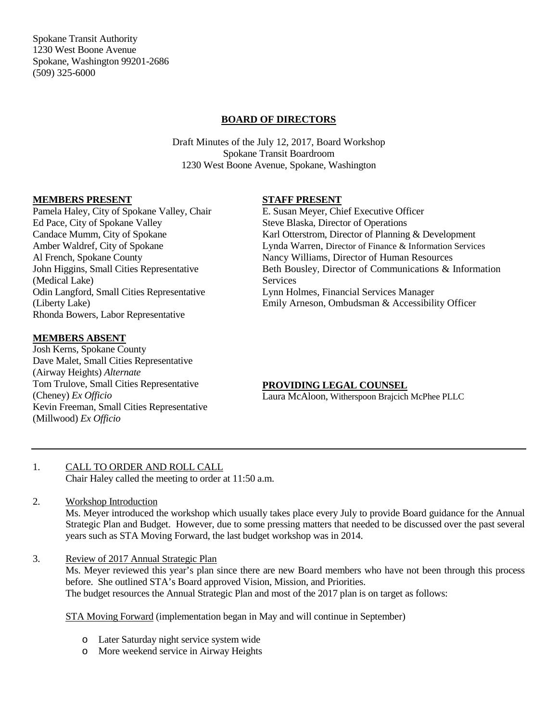Spokane Transit Authority 1230 West Boone Avenue Spokane, Washington 99201-2686 (509) 325-6000

# **BOARD OF DIRECTORS**

Draft Minutes of the July 12, 2017, Board Workshop Spokane Transit Boardroom 1230 West Boone Avenue, Spokane, Washington

### **MEMBERS PRESENT**

Pamela Haley, City of Spokane Valley, Chair Ed Pace, City of Spokane Valley Candace Mumm, City of Spokane Amber Waldref, City of Spokane Al French, Spokane County John Higgins, Small Cities Representative (Medical Lake) Odin Langford, Small Cities Representative (Liberty Lake) Rhonda Bowers, Labor Representative

# **MEMBERS ABSENT**

Josh Kerns, Spokane County Dave Malet, Small Cities Representative (Airway Heights) *Alternate* Tom Trulove, Small Cities Representative (Cheney) *Ex Officio* Kevin Freeman, Small Cities Representative (Millwood) *Ex Officio*

### **STAFF PRESENT**

E. Susan Meyer, Chief Executive Officer Steve Blaska, Director of Operations Karl Otterstrom, Director of Planning & Development Lynda Warren, Director of Finance & Information Services Nancy Williams, Director of Human Resources Beth Bousley, Director of Communications & Information Services Lynn Holmes, Financial Services Manager Emily Arneson, Ombudsman & Accessibility Officer

# **PROVIDING LEGAL COUNSEL**

Laura McAloon, Witherspoon Brajcich McPhee PLLC

- 1. CALL TO ORDER AND ROLL CALL Chair Haley called the meeting to order at 11:50 a.m.
- 2. Workshop Introduction Ms. Meyer introduced the workshop which usually takes place every July to provide Board guidance for the Annual Strategic Plan and Budget. However, due to some pressing matters that needed to be discussed over the past several years such as STA Moving Forward, the last budget workshop was in 2014.
- 3. Review of 2017 Annual Strategic Plan

Ms. Meyer reviewed this year's plan since there are new Board members who have not been through this process before. She outlined STA's Board approved Vision, Mission, and Priorities. The budget resources the Annual Strategic Plan and most of the 2017 plan is on target as follows:

STA Moving Forward (implementation began in May and will continue in September)

- o Later Saturday night service system wide
- o More weekend service in Airway Heights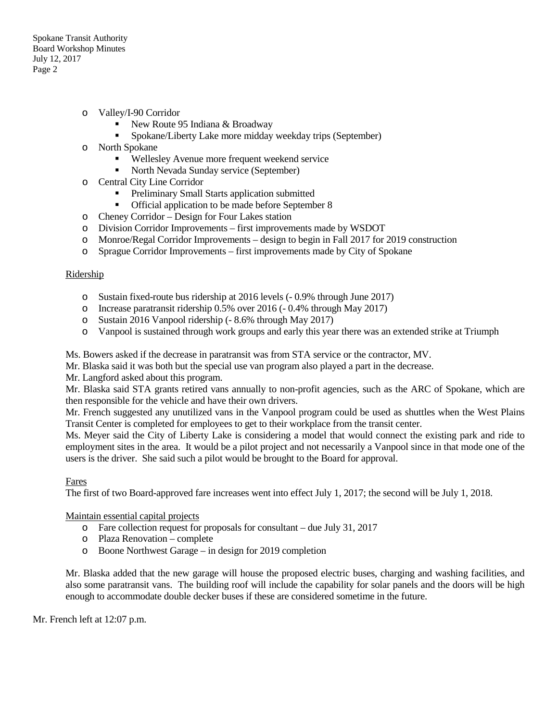- o Valley/I-90 Corridor
	- New Route 95 Indiana  $&$  Broadway
	- Spokane/Liberty Lake more midday weekday trips (September)
- o North Spokane
	- Wellesley Avenue more frequent weekend service
	- North Nevada Sunday service (September)
- o Central City Line Corridor
	- **Preliminary Small Starts application submitted**
	- **•** Official application to be made before September 8
- o Cheney Corridor Design for Four Lakes station
- o Division Corridor Improvements first improvements made by WSDOT
- o Monroe/Regal Corridor Improvements design to begin in Fall 2017 for 2019 construction
- o Sprague Corridor Improvements first improvements made by City of Spokane

#### Ridership

- o Sustain fixed-route bus ridership at 2016 levels (- 0.9% through June 2017)
- o Increase paratransit ridership 0.5% over 2016 (- 0.4% through May 2017)
- o Sustain 2016 Vanpool ridership (- 8.6% through May 2017)
- o Vanpool is sustained through work groups and early this year there was an extended strike at Triumph

Ms. Bowers asked if the decrease in paratransit was from STA service or the contractor, MV.

Mr. Blaska said it was both but the special use van program also played a part in the decrease.

Mr. Langford asked about this program.

Mr. Blaska said STA grants retired vans annually to non-profit agencies, such as the ARC of Spokane, which are then responsible for the vehicle and have their own drivers.

Mr. French suggested any unutilized vans in the Vanpool program could be used as shuttles when the West Plains Transit Center is completed for employees to get to their workplace from the transit center.

Ms. Meyer said the City of Liberty Lake is considering a model that would connect the existing park and ride to employment sites in the area. It would be a pilot project and not necessarily a Vanpool since in that mode one of the users is the driver. She said such a pilot would be brought to the Board for approval.

#### Fares

The first of two Board-approved fare increases went into effect July 1, 2017; the second will be July 1, 2018.

Maintain essential capital projects

- o Fare collection request for proposals for consultant due July 31, 2017
- o Plaza Renovation complete
- o Boone Northwest Garage in design for 2019 completion

Mr. Blaska added that the new garage will house the proposed electric buses, charging and washing facilities, and also some paratransit vans. The building roof will include the capability for solar panels and the doors will be high enough to accommodate double decker buses if these are considered sometime in the future.

Mr. French left at 12:07 p.m.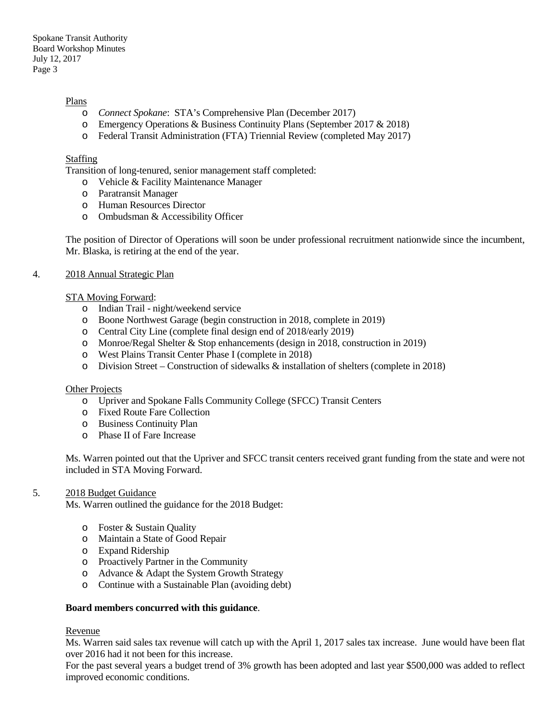#### Plans

- o *Connect Spokane*: STA's Comprehensive Plan (December 2017)
- o Emergency Operations & Business Continuity Plans (September 2017 & 2018)
- o Federal Transit Administration (FTA) Triennial Review (completed May 2017)

### **Staffing**

Transition of long-tenured, senior management staff completed:

- o Vehicle & Facility Maintenance Manager
- o Paratransit Manager
- o Human Resources Director
- o Ombudsman & Accessibility Officer

The position of Director of Operations will soon be under professional recruitment nationwide since the incumbent, Mr. Blaska, is retiring at the end of the year.

### 4. 2018 Annual Strategic Plan

### STA Moving Forward:

- o Indian Trail night/weekend service
- o Boone Northwest Garage (begin construction in 2018, complete in 2019)
- o Central City Line (complete final design end of 2018/early 2019)
- o Monroe/Regal Shelter & Stop enhancements (design in 2018, construction in 2019)
- o West Plains Transit Center Phase I (complete in 2018)
- o Division Street Construction of sidewalks & installation of shelters (complete in 2018)

#### Other Projects

- o Upriver and Spokane Falls Community College (SFCC) Transit Centers
- o Fixed Route Fare Collection
- o Business Continuity Plan
- o Phase II of Fare Increase

Ms. Warren pointed out that the Upriver and SFCC transit centers received grant funding from the state and were not included in STA Moving Forward.

#### 5. 2018 Budget Guidance

Ms. Warren outlined the guidance for the 2018 Budget:

- o Foster & Sustain Quality
- o Maintain a State of Good Repair
- o Expand Ridership
- o Proactively Partner in the Community
- o Advance & Adapt the System Growth Strategy
- o Continue with a Sustainable Plan (avoiding debt)

#### **Board members concurred with this guidance**.

# Revenue

Ms. Warren said sales tax revenue will catch up with the April 1, 2017 sales tax increase. June would have been flat over 2016 had it not been for this increase.

For the past several years a budget trend of 3% growth has been adopted and last year \$500,000 was added to reflect improved economic conditions.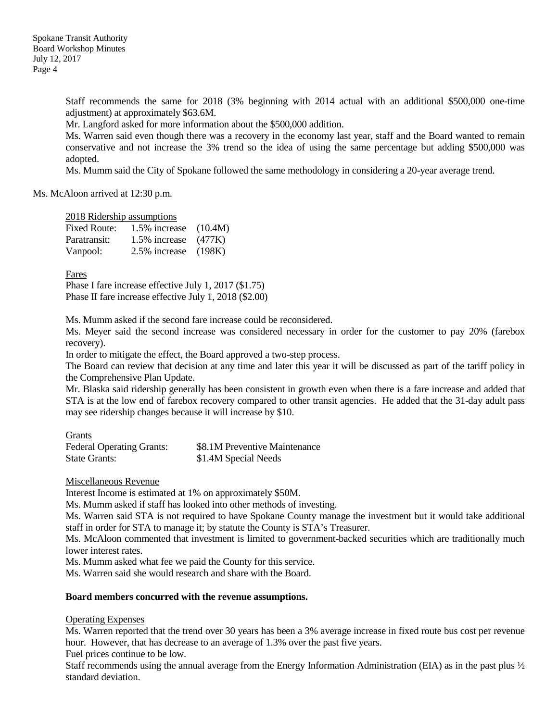Staff recommends the same for 2018 (3% beginning with 2014 actual with an additional \$500,000 one-time adjustment) at approximately \$63.6M.

Mr. Langford asked for more information about the \$500,000 addition.

Ms. Warren said even though there was a recovery in the economy last year, staff and the Board wanted to remain conservative and not increase the 3% trend so the idea of using the same percentage but adding \$500,000 was adopted.

Ms. Mumm said the City of Spokane followed the same methodology in considering a 20-year average trend.

### Ms. McAloon arrived at 12:30 p.m.

### 2018 Ridership assumptions

| Fixed Route: | 1.5% increase             | (10.4M) |
|--------------|---------------------------|---------|
| Paratransit: | $1.5\%$ increase $(477K)$ |         |
| Vanpool:     | 2.5% increase             | (198K)  |

Fares

Phase I fare increase effective July 1, 2017 (\$1.75) Phase II fare increase effective July 1, 2018 (\$2.00)

Ms. Mumm asked if the second fare increase could be reconsidered.

Ms. Meyer said the second increase was considered necessary in order for the customer to pay 20% (farebox recovery).

In order to mitigate the effect, the Board approved a two-step process.

The Board can review that decision at any time and later this year it will be discussed as part of the tariff policy in the Comprehensive Plan Update.

Mr. Blaska said ridership generally has been consistent in growth even when there is a fare increase and added that STA is at the low end of farebox recovery compared to other transit agencies. He added that the 31-day adult pass may see ridership changes because it will increase by \$10.

# **Grants**

| <b>Federal Operating Grants:</b> | \$8.1M Preventive Maintenance |
|----------------------------------|-------------------------------|
| <b>State Grants:</b>             | \$1.4M Special Needs          |

#### Miscellaneous Revenue

Interest Income is estimated at 1% on approximately \$50M.

Ms. Mumm asked if staff has looked into other methods of investing.

Ms. Warren said STA is not required to have Spokane County manage the investment but it would take additional staff in order for STA to manage it; by statute the County is STA's Treasurer.

Ms. McAloon commented that investment is limited to government-backed securities which are traditionally much lower interest rates.

Ms. Mumm asked what fee we paid the County for this service.

Ms. Warren said she would research and share with the Board.

#### **Board members concurred with the revenue assumptions.**

#### Operating Expenses

Ms. Warren reported that the trend over 30 years has been a 3% average increase in fixed route bus cost per revenue hour. However, that has decrease to an average of 1.3% over the past five years.

Fuel prices continue to be low.

Staff recommends using the annual average from the Energy Information Administration (EIA) as in the past plus ½ standard deviation.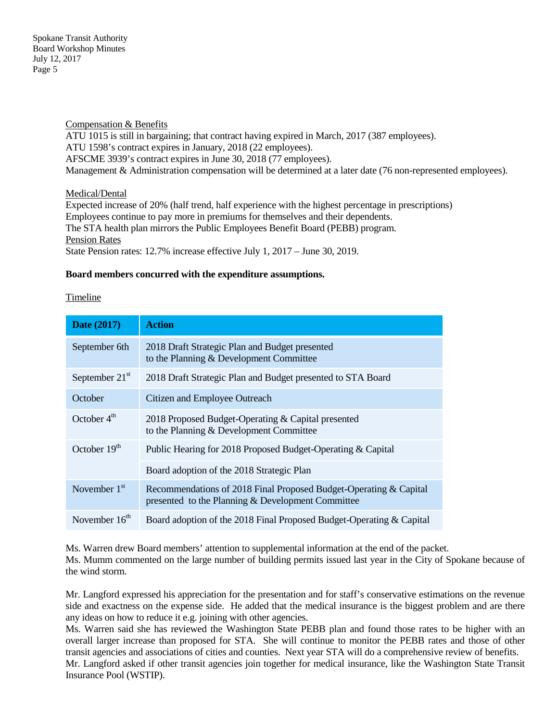Compensation & Benefits ATU 1015 is still in bargaining; that contract having expired in March, 2017 (387 employees). ATU 1598's contract expires in January, 2018 (22 employees). AFSCME 3939's contract expires in June 30, 2018 (77 employees). Management & Administration compensation will be determined at a later date (76 non-represented employees).

# Medical/Dental

Expected increase of 20% (half trend, half experience with the highest percentage in prescriptions) Employees continue to pay more in premiums for themselves and their dependents. The STA health plan mirrors the Public Employees Benefit Board (PEBB) program. Pension Rates State Pension rates: 12.7% increase effective July 1, 2017 – June 30, 2019.

# **Board members concurred with the expenditure assumptions.**

# Timeline

| <b>Date (2017)</b> | <b>Action</b>                                                                                                          |
|--------------------|------------------------------------------------------------------------------------------------------------------------|
| September 6th      | 2018 Draft Strategic Plan and Budget presented<br>to the Planning & Development Committee                              |
| September $21st$   | 2018 Draft Strategic Plan and Budget presented to STA Board                                                            |
| October            | Citizen and Employee Outreach                                                                                          |
| October $4th$      | 2018 Proposed Budget-Operating & Capital presented<br>to the Planning & Development Committee                          |
| October $19th$     | Public Hearing for 2018 Proposed Budget-Operating & Capital                                                            |
|                    | Board adoption of the 2018 Strategic Plan                                                                              |
| November $1st$     | Recommendations of 2018 Final Proposed Budget-Operating & Capital<br>presented to the Planning & Development Committee |
| November $16th$    | Board adoption of the 2018 Final Proposed Budget-Operating & Capital                                                   |

Ms. Warren drew Board members' attention to supplemental information at the end of the packet.

Ms. Mumm commented on the large number of building permits issued last year in the City of Spokane because of the wind storm.

Mr. Langford expressed his appreciation for the presentation and for staff's conservative estimations on the revenue side and exactness on the expense side. He added that the medical insurance is the biggest problem and are there any ideas on how to reduce it e.g. joining with other agencies.

Ms. Warren said she has reviewed the Washington State PEBB plan and found those rates to be higher with an overall larger increase than proposed for STA. She will continue to monitor the PEBB rates and those of other transit agencies and associations of cities and counties. Next year STA will do a comprehensive review of benefits. Mr. Langford asked if other transit agencies join together for medical insurance, like the Washington State Transit Insurance Pool (WSTIP).